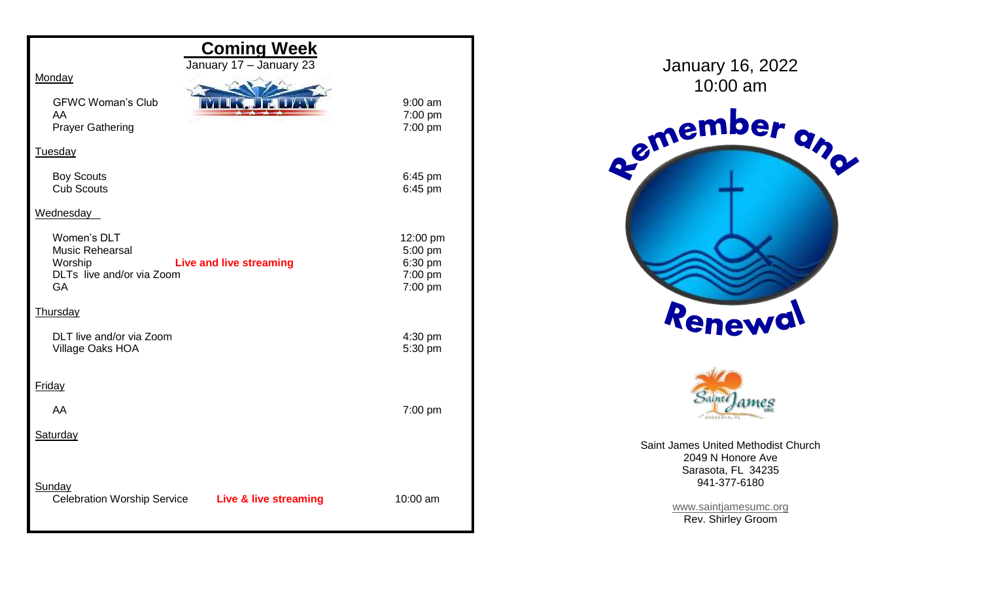| <b>Coming Week</b><br>January 17 - January 23               |           | Janua           |
|-------------------------------------------------------------|-----------|-----------------|
| Monday                                                      |           | 1 <sub>C</sub>  |
| <b>GFWC Woman's Club</b>                                    | $9:00$ am |                 |
| AA                                                          | 7:00 pm   |                 |
| <b>Prayer Gathering</b>                                     | 7:00 pm   |                 |
| Tuesday                                                     |           | Remer           |
| <b>Boy Scouts</b>                                           | 6:45 pm   |                 |
| <b>Cub Scouts</b>                                           | 6:45 pm   |                 |
| Wednesday                                                   |           |                 |
| Women's DLT                                                 | 12:00 pm  |                 |
| <b>Music Rehearsal</b>                                      | 5:00 pm   |                 |
| Worship<br><b>Live and live streaming</b>                   | 6:30 pm   |                 |
| DLTs live and/or via Zoom                                   | 7:00 pm   |                 |
| GA                                                          | 7:00 pm   |                 |
| Thursday                                                    |           | Rei             |
| DLT live and/or via Zoom                                    | 4:30 pm   |                 |
| Village Oaks HOA                                            | 5:30 pm   |                 |
|                                                             |           |                 |
| Friday                                                      |           | .<br>Sa         |
| AA                                                          | 7:00 pm   |                 |
|                                                             |           |                 |
| Saturday                                                    |           | Saint James U   |
|                                                             |           | 2049            |
|                                                             |           | <b>Saras</b>    |
| Sunday                                                      |           | 94 <sup>°</sup> |
| <b>Celebration Worship Service</b><br>Live & live streaming | 10:00 am  | www.sai         |
|                                                             |           | Rev.            |

ary 16, 2022





**Jnited Methodist Church** N Honore Ave sota, FL 34235 941-377-6180

> intjamesumc.org **Shirley Groom**